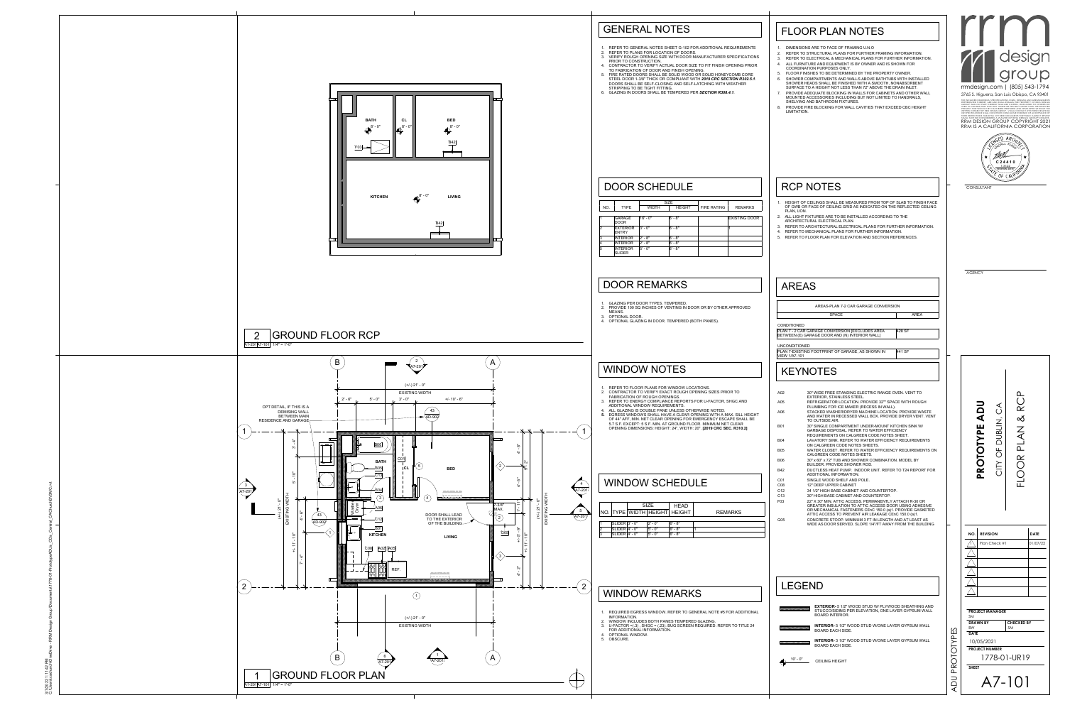| $\mathbf{1}$ .<br>2.<br>3.<br>4.<br>5.<br>6.<br>7.<br>8.<br>LIMITATION.                                                                                                                                             | DIMENSIONS ARE TO FACE OF FRAMING U.N.O<br>REFER TO STRUCTURAL PLANS FOR FURTHER FRAMING INFORMATION.<br>REFER TO ELECTRICAL & MECHANICAL PLANS FOR FURTHER INFORMATION.<br>ALL FURNITURE AND EQUIPMENT IS BY OWNER AND IS SHOWN FOR<br>COORDINATION PURPOSES ONLY.<br>FLOOR FINISHES TO BE DETERMINED BY THE PROPERTY OWNER.<br>SHOWER COMPARTMENTS AND WALLS ABOVE BATHTUBS WITH INSTALLED<br>SHOWER HEADS SHALL BE FINISHED WITH A SMOOTH, NONABSORBENT<br>SURFACE TO A HEIGHT NOT LESS THAN 72" ABOVE THE DRAIN INLET.<br>PROVIDE ADEQUATE BLOCKING IN WALLS FOR CABINETS AND OTHER WALL<br>MOUNTED ACCESSORIES INCLUDING BUT NOT LIMITED TO HANDRAILS,<br>SHELVING AND BATHROOM FIXTURES.<br>PROVIDE FIRE BLOCKING FOR WALL CAVITIES THAT EXCEED CBC HEIGHT                                                                                                                                                                                                                                                                                                                                                                                                                                                                                                                                                              | rmdesign.com   (805) 543-1794<br>3765 S. Higuera, San Luis Obispo, CA 93401<br>THE INCLUDED DRAWINGS, SPECIFICATIONS, IDEAS, DESIGNS AND ARRANGEMENT<br>REPRESENTED THEREBY ARE AND SHALL REMAIN THE PROPERTY OF RRM DESIGN<br>GROUP AND NO PART THEREOF SHALL BE COPIED, DISCLOSED TO OTHERS OF<br>USED IN CONNECTION WITH ANY WORK OR PROJECT OTHER THAN THE SPECIFIED<br>PROJECT FOR WHICH THEY HAVE BEEN PREPARED AND DEVELOPED WITHOUT THE<br>WRITTEN CONSENT OF RRM DESIGN GROUP. VISUAL CONTACT WITH THESE DRAWINGS<br>OR SPECIFICATIONS SHALL CONSTITUTE CONCLUSIVE EVIDENCE OF ACCEPTANCE OF<br>THESE RESTRICTIONS, SUBMITTAL OF THESE DOCUMENTS FOR PUBLIC AGENCY REVIEW<br>SHALL NOT BE CONSIDERED A WAIVER OF RRM DESIGN GROUP'S RIGHTS.<br>RRM DESIGN GROUP COPYRIGHT 2021<br>RRM IS A CALIFORNIA CORPORATION |
|---------------------------------------------------------------------------------------------------------------------------------------------------------------------------------------------------------------------|-------------------------------------------------------------------------------------------------------------------------------------------------------------------------------------------------------------------------------------------------------------------------------------------------------------------------------------------------------------------------------------------------------------------------------------------------------------------------------------------------------------------------------------------------------------------------------------------------------------------------------------------------------------------------------------------------------------------------------------------------------------------------------------------------------------------------------------------------------------------------------------------------------------------------------------------------------------------------------------------------------------------------------------------------------------------------------------------------------------------------------------------------------------------------------------------------------------------------------------------------------------------------------------------------------------------------------|----------------------------------------------------------------------------------------------------------------------------------------------------------------------------------------------------------------------------------------------------------------------------------------------------------------------------------------------------------------------------------------------------------------------------------------------------------------------------------------------------------------------------------------------------------------------------------------------------------------------------------------------------------------------------------------------------------------------------------------------------------------------------------------------------------------------------|
| PLAN, UON.                                                                                                                                                                                                          | <b>RCP NOTES</b><br>1. HEIGHT OF CEILINGS SHALL BE MEASURED FROM TOP OF SLAB TO FINISH FACE<br>OF GWB OR FACE OF CEILING GRID AS INDICATED ON THE REFLECTED CEILING<br>2. ALL LIGHT FIXTURES ARE TO BE INSTALLED ACCORDING TO THE<br>ARCHITECTURAL ELECTRICAL PLAN.<br>3. REFER TO ARCHITECTURAL ELECTRICAL PLANS FOR FURTHER INFORMATION.<br>4. REFER TO MECHANICAL PLANS FOR FURTHER INFORMATION.<br>5. REFER TO FLOOR PLAN FOR ELEVATION AND SECTION REFERENCES.                                                                                                                                                                                                                                                                                                                                                                                                                                                                                                                                                                                                                                                                                                                                                                                                                                                           | ANDALI<br>★<br>C 2 4 4 1 0<br>1-31-22<br><b>RENEWAL DATE</b><br>OF $FANK$<br>CONSULTANT                                                                                                                                                                                                                                                                                                                                                                                                                                                                                                                                                                                                                                                                                                                                    |
| <b>AREAS</b>                                                                                                                                                                                                        |                                                                                                                                                                                                                                                                                                                                                                                                                                                                                                                                                                                                                                                                                                                                                                                                                                                                                                                                                                                                                                                                                                                                                                                                                                                                                                                               | <b>AGENCY</b>                                                                                                                                                                                                                                                                                                                                                                                                                                                                                                                                                                                                                                                                                                                                                                                                              |
| <b>UNCONDITIONED</b><br><b>VIEW 1/A7-101</b><br>A02<br>A05<br>A06<br><b>B01</b><br><b>B04</b><br><b>B05</b><br><b>B06</b><br><b>B42</b><br>C <sub>01</sub><br>C <sub>08</sub><br>C <sub>12</sub><br>C <sub>13</sub> | PLAN 7-EXISTING FOOTPRINT OF GARAGE, AS SHOWN IN<br>441 SF<br><b>KEYNOTES</b><br>30" WIDE FREE STANDING ELECTRIC RANGE OVEN. VENT TO<br>EXTERIOR, STAINLESS STEEL.<br>REFRIGERATOR LOCATION. PROVIDE 32"" SPACE WITH ROUGH<br>PLUMBING FOR ICE MAKER (RECESS IN WALL).<br>STACKED WASHER/DRYER MACHINE LOCATION. PROVIDE WASTE<br>AND WATER IN RECESSED WALL BOX. PROVIDE DRYER VENT. VENT<br>TO OUTSIDE AIR.<br>30" SINGLE COMPARTMENT UNDER-MOUNT KITCHEN SINK W/<br>GARBAGE DISPOSAL. REFER TO WATER EFFICIENCY<br>REQUIREMENTS ON CALGREEN CODE NOTES SHEET.<br>LAVATORY SINK. REFER TO WATER EFFICIENCY REQUIREMENTS<br>ON CALGREEN CODE NOTES SHEETS.<br>WATER CLOSET. REFER TO WATER EFFICIENCY REQUIREMENTS ON<br>CALGREEN CODE NOTES SHEETS.<br>30" x 60" x 72" TUB AND SHOWER COMBINATION. MODEL BY<br>BUILDER. PROVIDE SHOWER ROD.<br>DUCTLESS HEAT PUMP. INDOOR UNIT. REFER TO T24 REPORT FOR<br>ADDITIONAL INFORMATION.<br>SINGLE WOOD SHELF AND POLE.<br>12" DEEP UPPER CABINET<br>34 1/2" HIGH BASE CABINET AND COUNTERTOP.<br>30" HIGH BASE CABINET AND COUNTERTOP.<br>22" X 30" MIN. ATTIC ACCESS. PERMANENTLY ATTACH R-30 OR<br>GREATER INSULATION TO ATTIC ACCESS DOOR USING ADHESIVE<br>OR MECHANICAL FASTENERS CEnC 150.0 (a)1. PROVIDE GASKETED<br>ATTIC ACCESS TO PREVENT AIR LEAKAGE CEnC 150.0 (a)1. | <b>UQV</b><br>◁<br>$\alpha$<br>$\propto$<br><b>DUBLIN</b><br><b>PROTOTYPE</b><br>Z<br>く<br>മ<br>Щ<br>$\bigcirc$<br>$\alpha$<br>$\sum$<br>$\bigcap$<br>( )<br>匸                                                                                                                                                                                                                                                                                                                                                                                                                                                                                                                                                                                                                                                             |
| F <sub>03</sub>                                                                                                                                                                                                     | CONCRETE STOOP. MINIMUM 3 FT IN LENGTH AND AT LEAST AS<br>WIDE AS DOOR SERVED. SLOPE 1/4"/FT AWAY FROM THE BUILDING                                                                                                                                                                                                                                                                                                                                                                                                                                                                                                                                                                                                                                                                                                                                                                                                                                                                                                                                                                                                                                                                                                                                                                                                           | <b>REVISION</b><br>NO.<br>Plan Check #1                                                                                                                                                                                                                                                                                                                                                                                                                                                                                                                                                                                                                                                                                                                                                                                    |
| G05                                                                                                                                                                                                                 | <b>LEGEND</b><br><b>EXTERIOR-</b> 5 1/2" WOOD STUD W/ PLYWOOD SHEATHING AND                                                                                                                                                                                                                                                                                                                                                                                                                                                                                                                                                                                                                                                                                                                                                                                                                                                                                                                                                                                                                                                                                                                                                                                                                                                   |                                                                                                                                                                                                                                                                                                                                                                                                                                                                                                                                                                                                                                                                                                                                                                                                                            |

C:\Users\cachurch\OneDrive - RRM Design Group\Documents\1778-01-PrototypeADUs\_CDs\_Central\_CAChurchBV3MC.rvt 3/7/2022 1:11:42 PM



- 1. REQUIRED EGRESS WINDOW. REFER TO GENERAL NOTE #5 FOR ADDIT
- INFORMATION. 2. WINDOW INCLUDES BOTH PANES TEMPERED GLAZING. 3. U-FACTOR =(.3) , SHGC = (.23). BUG SCREEN REQUIRED. REFER TO TITLE 24
- FOR ADDITIONAL INFORMATION.
- 4. OPTIONAL WINDOW. 5. OBSCURE.
- 1. REFER TO GENERAL NOTES SHEET G-102 FOR ADDITIONAL REQUIREM 2. REFER TO PLANS FOR LOCATION OF DOORS. 3. VERIFY ROUGH OPENING SIZE WITH DOOR MANUFACTURER SPECIFICATIONS
- PRIOR TO CONSTRUCTION. 4. CONTRACTOR TO VERIFY ACTUAL DOOR SIZE TO FIT FINISH OPENING P
- TO FABRICATION OF DOOR AND FINISH OPENING. FIRE RATED DOORS SHALL BE SOLID WOOD OR SOLID HONEYCOMB CO STEEL DOOR 1-3/8" THICK OR COMPLIANT WITH 2019 CRC SECTION R30. DOORS SHALL BE SELF-CLOSING AND SELF-LATCHING WITH WEATHER
- STRIPPING TO BE TIGHT FITTING. 6. GLAZING IN DOORS SHALL BE TEMPERED PER *SECTION R308.4.1*.

|   |                                 | <b>SIZE</b> | <b>HEAD</b>                  |                |
|---|---------------------------------|-------------|------------------------------|----------------|
|   |                                 |             | NO. TYPE WIDTH HEIGHT HEIGHT | <b>REMARKS</b> |
|   |                                 |             |                              |                |
|   | $\textsf{SLIDER} \vert 3'$ - 0" | $2' - 0''$  | $6' - 8''$                   |                |
| 2 | SLIDER $4'$ - 0"                | $5'$ - $0"$ | $6' - 8''$                   |                |
| 3 | SLIDER $ 4' - 0"$               | $5' - 0''$  | $6' - 8''$                   |                |
|   |                                 |             |                              |                |

|     |                                  |                       | <b>SIZE</b>   |                    |                      |
|-----|----------------------------------|-----------------------|---------------|--------------------|----------------------|
| NO. | <b>TYPE</b>                      | <b>WIDTH</b>          | <b>HEIGHT</b> | <b>FIRE RATING</b> | <b>REMARKS</b>       |
|     |                                  |                       |               |                    |                      |
|     | <b>GARAGE</b><br><b>DOOR</b>     | $16' - 0''$           | $6' - 8''$    |                    | <b>EXISTING DOOR</b> |
| 2   | <b>EXTERIOR</b><br><b>ENTRY</b>  | $3' - 0''$            | $6' - 8''$    |                    |                      |
| 3   | <b>INTERIOR</b>                  | $2' - 8''$            | $6' - 8"$     |                    |                      |
| 4   | <b>INTERIOR</b>                  | $-8"$<br>$2^{\prime}$ | $6' - 8"$     |                    |                      |
| 5   | <b>INTERIOR</b><br><b>SLIDER</b> | $5' - 0''$            | $6' - 8''$    |                    |                      |

### WINDOW SCHEDULE

## DOOR SCHEDULE

- 1. REFER TO FLOOR PLANS FOR WINDOW LOCATIONS. 2. CONTRACTOR TO VERIFY EXACT ROUGH OPENING SIZES PRIOR TO
- FABRICATION OF ROUGH OPENINGS. 3. REFER TO ENERGY COMPLIANCE REPORTS FOR U-FACTOR, SHGC AND ADDITIONAL WINDOW REQUIREMENTS.
- 4. ALL GLAZING IS DOUBLE PANE UNLESS OTHERWISE NOTED. **5. EGRESS WINDOWS SHALL HAVE A CLEAR OPENING WITH A MAX. SILL H** OF 44" AFF, MIN. NET CLEAR OPENING FOR EMERGENCY ESCAPE SHALL BE 5.7 S.F. EXCEPT: 5 S.F. MIN. AT GROUND FLOOR. MINIMUM NET CLEAR OPENING DIMENSIONS: HEIGHT: 24", WIDTH: 20". **[2019 CRC SEC. R310.2]**

# WINDOW NOTES

# WINDOW REMARKS

- 1. GLAZING PER DOOR TYPES. TEMPERED. 2. PROVIDE 100 SQ INCHES OF VENTING IN DOOR OR BY OTHER APPROVED MEANS.
- 3. OPTIONAL DOOR. 4. OPTIONAL GLAZING IN DOOR. TEMPERED (BOTH PANES).

#### DOOR REMARKS

## GENERAL NOTES